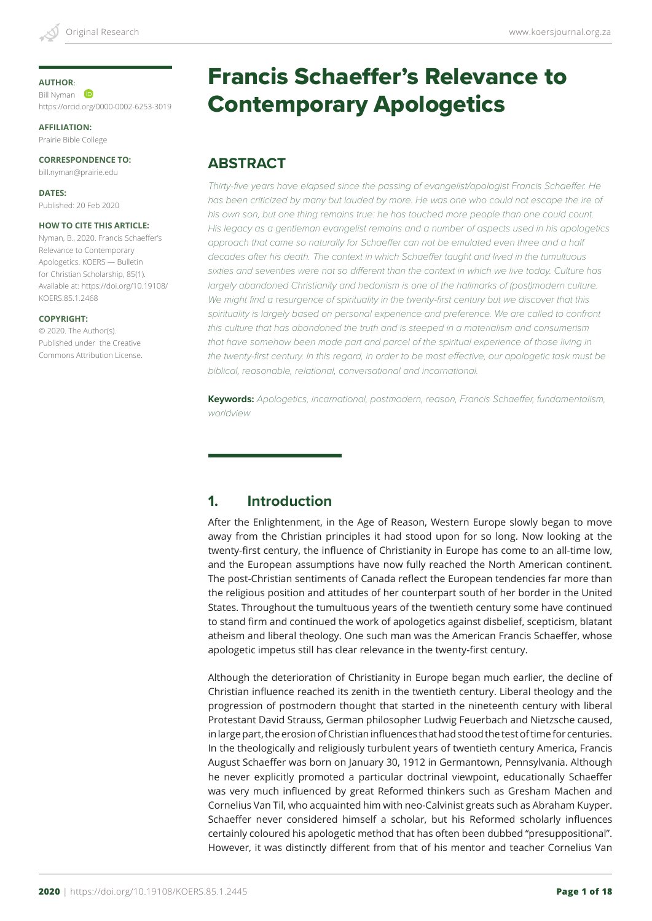#### **AUTHOR**:

Bill Nyman **iD** https://orcid.org/0000-0002-6253-3019

**AFFILIATION:**

Prairie Bible College

**CORRESPONDENCE TO:**

bill.nyman@prairie.edu

**DATES:** Published: 20 Feb 2020

#### **HOW TO CITE THIS ARTICLE:**

Nyman, B., 2020. Francis Schaeffer's Relevance to Contemporary Apologetics. KOERS — Bulletin for Christian Scholarship, 85(1). Available at: https://doi.org/10.19108/ KOERS.85.1.2468

#### **COPYRIGHT:**

© 2020. The Author(s). Published under the Creative Commons Attribution License.

# Francis Schaeffer's Relevance to Contemporary Apologetics

#### **ABSTRACT**

*Thirty-five years have elapsed since the passing of evangelist/apologist Francis Schaeffer. He*  has been criticized by many but lauded by more. He was one who could not escape the ire of his own son, but one thing remains true: he has touched more people than one could count. *His legacy as a gentleman evangelist remains and a number of aspects used in his apologetics approach that came so naturally for Schaeffer can not be emulated even three and a half decades after his death. The context in which Schaeffer taught and lived in the tumultuous sixties and seventies were not so different than the context in which we live today. Culture has largely abandoned Christianity and hedonism is one of the hallmarks of (post)modern culture.*  We might find a resurgence of spirituality in the twenty-first century but we discover that this spirituality is largely based on personal experience and preference. We are called to confront *this culture that has abandoned the truth and is steeped in a materialism and consumerism*  that have somehow been made part and parcel of the spiritual experience of those living in *the twenty-first century. In this regard, in order to be most effective, our apologetic task must be biblical, reasonable, relational, conversational and incarnational.*

**Keywords:** *Apologetics, incarnational, postmodern, reason, Francis Schaeffer, fundamentalism, worldview*

## **1. Introduction**

After the Enlightenment, in the Age of Reason, Western Europe slowly began to move away from the Christian principles it had stood upon for so long. Now looking at the twenty-first century, the influence of Christianity in Europe has come to an all-time low, and the European assumptions have now fully reached the North American continent. The post-Christian sentiments of Canada reflect the European tendencies far more than the religious position and attitudes of her counterpart south of her border in the United States. Throughout the tumultuous years of the twentieth century some have continued to stand firm and continued the work of apologetics against disbelief, scepticism, blatant atheism and liberal theology. One such man was the American Francis Schaeffer, whose apologetic impetus still has clear relevance in the twenty-first century.

Although the deterioration of Christianity in Europe began much earlier, the decline of Christian influence reached its zenith in the twentieth century. Liberal theology and the progression of postmodern thought that started in the nineteenth century with liberal Protestant David Strauss, German philosopher Ludwig Feuerbach and Nietzsche caused, in large part, the erosion of Christian influences that had stood the test of time for centuries. In the theologically and religiously turbulent years of twentieth century America, Francis August Schaeffer was born on January 30, 1912 in Germantown, Pennsylvania. Although he never explicitly promoted a particular doctrinal viewpoint, educationally Schaeffer was very much influenced by great Reformed thinkers such as Gresham Machen and Cornelius Van Til, who acquainted him with neo-Calvinist greats such as Abraham Kuyper. Schaeffer never considered himself a scholar, but his Reformed scholarly influences certainly coloured his apologetic method that has often been dubbed "presuppositional". However, it was distinctly different from that of his mentor and teacher Cornelius Van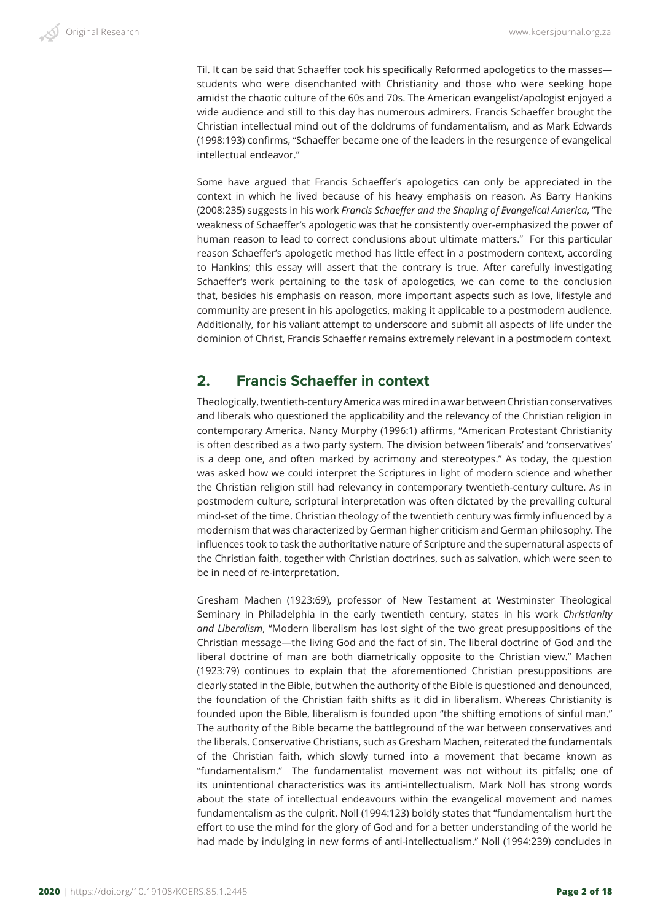Til. It can be said that Schaeffer took his specifically Reformed apologetics to the masses students who were disenchanted with Christianity and those who were seeking hope amidst the chaotic culture of the 60s and 70s. The American evangelist/apologist enjoyed a wide audience and still to this day has numerous admirers. Francis Schaeffer brought the Christian intellectual mind out of the doldrums of fundamentalism, and as Mark Edwards (1998:193) confirms, "Schaeffer became one of the leaders in the resurgence of evangelical intellectual endeavor."

Some have argued that Francis Schaeffer's apologetics can only be appreciated in the context in which he lived because of his heavy emphasis on reason. As Barry Hankins (2008:235) suggests in his work *Francis Schaeffer and the Shaping of Evangelical America*, "The weakness of Schaeffer's apologetic was that he consistently over-emphasized the power of human reason to lead to correct conclusions about ultimate matters." For this particular reason Schaeffer's apologetic method has little effect in a postmodern context, according to Hankins; this essay will assert that the contrary is true. After carefully investigating Schaeffer's work pertaining to the task of apologetics, we can come to the conclusion that, besides his emphasis on reason, more important aspects such as love, lifestyle and community are present in his apologetics, making it applicable to a postmodern audience. Additionally, for his valiant attempt to underscore and submit all aspects of life under the dominion of Christ, Francis Schaeffer remains extremely relevant in a postmodern context.

## **2. Francis Schaeffer in context**

Theologically, twentieth-century America was mired in a war between Christian conservatives and liberals who questioned the applicability and the relevancy of the Christian religion in contemporary America. Nancy Murphy (1996:1) affirms, "American Protestant Christianity is often described as a two party system. The division between 'liberals' and 'conservatives' is a deep one, and often marked by acrimony and stereotypes." As today, the question was asked how we could interpret the Scriptures in light of modern science and whether the Christian religion still had relevancy in contemporary twentieth-century culture. As in postmodern culture, scriptural interpretation was often dictated by the prevailing cultural mind-set of the time. Christian theology of the twentieth century was firmly influenced by a modernism that was characterized by German higher criticism and German philosophy. The influences took to task the authoritative nature of Scripture and the supernatural aspects of the Christian faith, together with Christian doctrines, such as salvation, which were seen to be in need of re-interpretation.

Gresham Machen (1923:69), professor of New Testament at Westminster Theological Seminary in Philadelphia in the early twentieth century, states in his work *Christianity and Liberalism*, "Modern liberalism has lost sight of the two great presuppositions of the Christian message—the living God and the fact of sin. The liberal doctrine of God and the liberal doctrine of man are both diametrically opposite to the Christian view." Machen (1923:79) continues to explain that the aforementioned Christian presuppositions are clearly stated in the Bible, but when the authority of the Bible is questioned and denounced, the foundation of the Christian faith shifts as it did in liberalism. Whereas Christianity is founded upon the Bible, liberalism is founded upon "the shifting emotions of sinful man." The authority of the Bible became the battleground of the war between conservatives and the liberals. Conservative Christians, such as Gresham Machen, reiterated the fundamentals of the Christian faith, which slowly turned into a movement that became known as "fundamentalism." The fundamentalist movement was not without its pitfalls; one of its unintentional characteristics was its anti-intellectualism. Mark Noll has strong words about the state of intellectual endeavours within the evangelical movement and names fundamentalism as the culprit. Noll (1994:123) boldly states that "fundamentalism hurt the effort to use the mind for the glory of God and for a better understanding of the world he had made by indulging in new forms of anti-intellectualism." Noll (1994:239) concludes in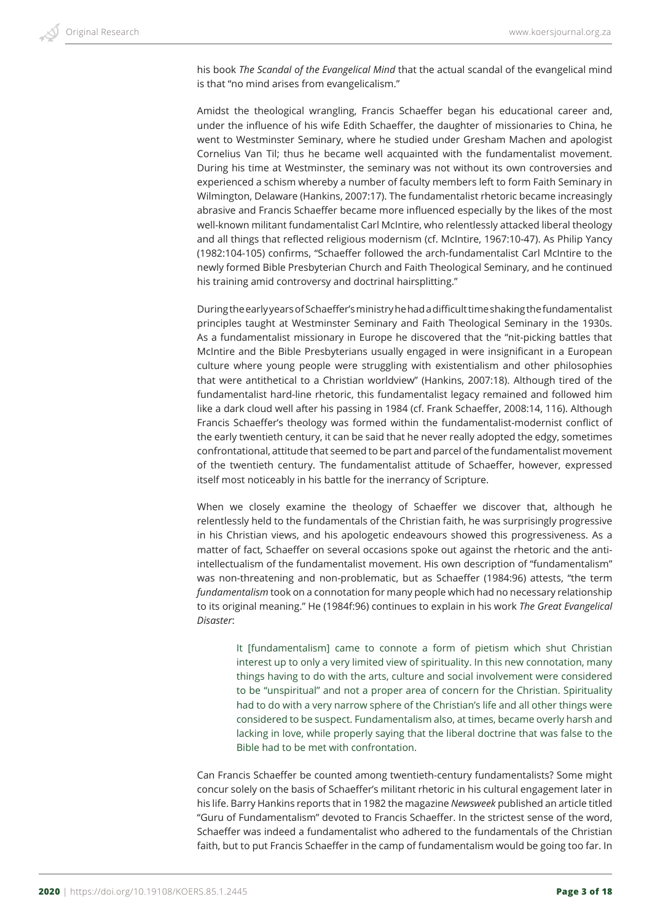his book *The Scandal of the Evangelical Mind* that the actual scandal of the evangelical mind is that "no mind arises from evangelicalism."

Amidst the theological wrangling, Francis Schaeffer began his educational career and, under the influence of his wife Edith Schaeffer, the daughter of missionaries to China, he went to Westminster Seminary, where he studied under Gresham Machen and apologist Cornelius Van Til; thus he became well acquainted with the fundamentalist movement. During his time at Westminster, the seminary was not without its own controversies and experienced a schism whereby a number of faculty members left to form Faith Seminary in Wilmington, Delaware (Hankins, 2007:17). The fundamentalist rhetoric became increasingly abrasive and Francis Schaeffer became more influenced especially by the likes of the most well-known militant fundamentalist Carl McIntire, who relentlessly attacked liberal theology and all things that reflected religious modernism (cf. McIntire, 1967:10-47). As Philip Yancy (1982:104-105) confirms, "Schaeffer followed the arch-fundamentalist Carl McIntire to the newly formed Bible Presbyterian Church and Faith Theological Seminary, and he continued his training amid controversy and doctrinal hairsplitting."

During the early years of Schaeffer's ministry he had a difficult time shaking the fundamentalist principles taught at Westminster Seminary and Faith Theological Seminary in the 1930s. As a fundamentalist missionary in Europe he discovered that the "nit-picking battles that McIntire and the Bible Presbyterians usually engaged in were insignificant in a European culture where young people were struggling with existentialism and other philosophies that were antithetical to a Christian worldview" (Hankins, 2007:18). Although tired of the fundamentalist hard-line rhetoric, this fundamentalist legacy remained and followed him like a dark cloud well after his passing in 1984 (cf. Frank Schaeffer, 2008:14, 116). Although Francis Schaeffer's theology was formed within the fundamentalist-modernist conflict of the early twentieth century, it can be said that he never really adopted the edgy, sometimes confrontational, attitude that seemed to be part and parcel of the fundamentalist movement of the twentieth century. The fundamentalist attitude of Schaeffer, however, expressed itself most noticeably in his battle for the inerrancy of Scripture.

When we closely examine the theology of Schaeffer we discover that, although he relentlessly held to the fundamentals of the Christian faith, he was surprisingly progressive in his Christian views, and his apologetic endeavours showed this progressiveness. As a matter of fact, Schaeffer on several occasions spoke out against the rhetoric and the antiintellectualism of the fundamentalist movement. His own description of "fundamentalism" was non-threatening and non-problematic, but as Schaeffer (1984:96) attests, "the term *fundamentalism* took on a connotation for many people which had no necessary relationship to its original meaning." He (1984f:96) continues to explain in his work *The Great Evangelical Disaster*:

It [fundamentalism] came to connote a form of pietism which shut Christian interest up to only a very limited view of spirituality. In this new connotation, many things having to do with the arts, culture and social involvement were considered to be "unspiritual" and not a proper area of concern for the Christian. Spirituality had to do with a very narrow sphere of the Christian's life and all other things were considered to be suspect. Fundamentalism also, at times, became overly harsh and lacking in love, while properly saying that the liberal doctrine that was false to the Bible had to be met with confrontation.

Can Francis Schaeffer be counted among twentieth-century fundamentalists? Some might concur solely on the basis of Schaeffer's militant rhetoric in his cultural engagement later in his life. Barry Hankins reports that in 1982 the magazine *Newsweek* published an article titled "Guru of Fundamentalism" devoted to Francis Schaeffer. In the strictest sense of the word, Schaeffer was indeed a fundamentalist who adhered to the fundamentals of the Christian faith, but to put Francis Schaeffer in the camp of fundamentalism would be going too far. In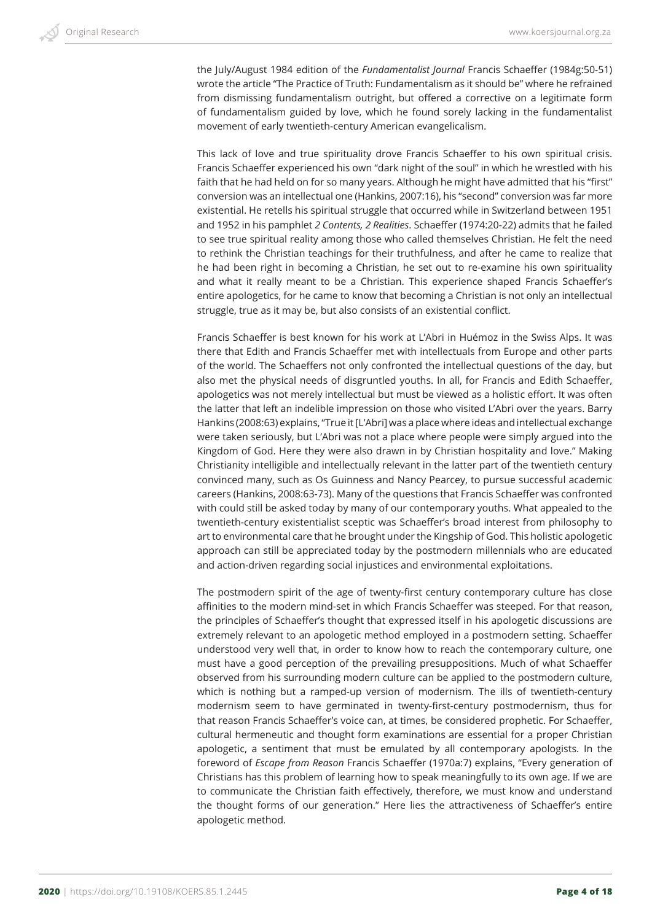the July/August 1984 edition of the *Fundamentalist Journal* Francis Schaeffer (1984g:50-51) wrote the article "The Practice of Truth: Fundamentalism as it should be" where he refrained from dismissing fundamentalism outright, but offered a corrective on a legitimate form of fundamentalism guided by love, which he found sorely lacking in the fundamentalist movement of early twentieth-century American evangelicalism.

This lack of love and true spirituality drove Francis Schaeffer to his own spiritual crisis. Francis Schaeffer experienced his own "dark night of the soul" in which he wrestled with his faith that he had held on for so many years. Although he might have admitted that his "first" conversion was an intellectual one (Hankins, 2007:16), his "second" conversion was far more existential. He retells his spiritual struggle that occurred while in Switzerland between 1951 and 1952 in his pamphlet *2 Contents, 2 Realities*. Schaeffer (1974:20-22) admits that he failed to see true spiritual reality among those who called themselves Christian. He felt the need to rethink the Christian teachings for their truthfulness, and after he came to realize that he had been right in becoming a Christian, he set out to re-examine his own spirituality and what it really meant to be a Christian. This experience shaped Francis Schaeffer's entire apologetics, for he came to know that becoming a Christian is not only an intellectual struggle, true as it may be, but also consists of an existential conflict.

Francis Schaeffer is best known for his work at L'Abri in Huémoz in the Swiss Alps. It was there that Edith and Francis Schaeffer met with intellectuals from Europe and other parts of the world. The Schaeffers not only confronted the intellectual questions of the day, but also met the physical needs of disgruntled youths. In all, for Francis and Edith Schaeffer, apologetics was not merely intellectual but must be viewed as a holistic effort. It was often the latter that left an indelible impression on those who visited L'Abri over the years. Barry Hankins (2008:63) explains, "True it [L'Abri] was a place where ideas and intellectual exchange were taken seriously, but L'Abri was not a place where people were simply argued into the Kingdom of God. Here they were also drawn in by Christian hospitality and love." Making Christianity intelligible and intellectually relevant in the latter part of the twentieth century convinced many, such as Os Guinness and Nancy Pearcey, to pursue successful academic careers (Hankins, 2008:63-73). Many of the questions that Francis Schaeffer was confronted with could still be asked today by many of our contemporary youths. What appealed to the twentieth-century existentialist sceptic was Schaeffer's broad interest from philosophy to art to environmental care that he brought under the Kingship of God. This holistic apologetic approach can still be appreciated today by the postmodern millennials who are educated and action-driven regarding social injustices and environmental exploitations.

The postmodern spirit of the age of twenty-first century contemporary culture has close affinities to the modern mind-set in which Francis Schaeffer was steeped. For that reason, the principles of Schaeffer's thought that expressed itself in his apologetic discussions are extremely relevant to an apologetic method employed in a postmodern setting. Schaeffer understood very well that, in order to know how to reach the contemporary culture, one must have a good perception of the prevailing presuppositions. Much of what Schaeffer observed from his surrounding modern culture can be applied to the postmodern culture, which is nothing but a ramped-up version of modernism. The ills of twentieth-century modernism seem to have germinated in twenty-first-century postmodernism, thus for that reason Francis Schaeffer's voice can, at times, be considered prophetic. For Schaeffer, cultural hermeneutic and thought form examinations are essential for a proper Christian apologetic, a sentiment that must be emulated by all contemporary apologists. In the foreword of *Escape from Reason* Francis Schaeffer (1970a:7) explains, "Every generation of Christians has this problem of learning how to speak meaningfully to its own age. If we are to communicate the Christian faith effectively, therefore, we must know and understand the thought forms of our generation." Here lies the attractiveness of Schaeffer's entire apologetic method.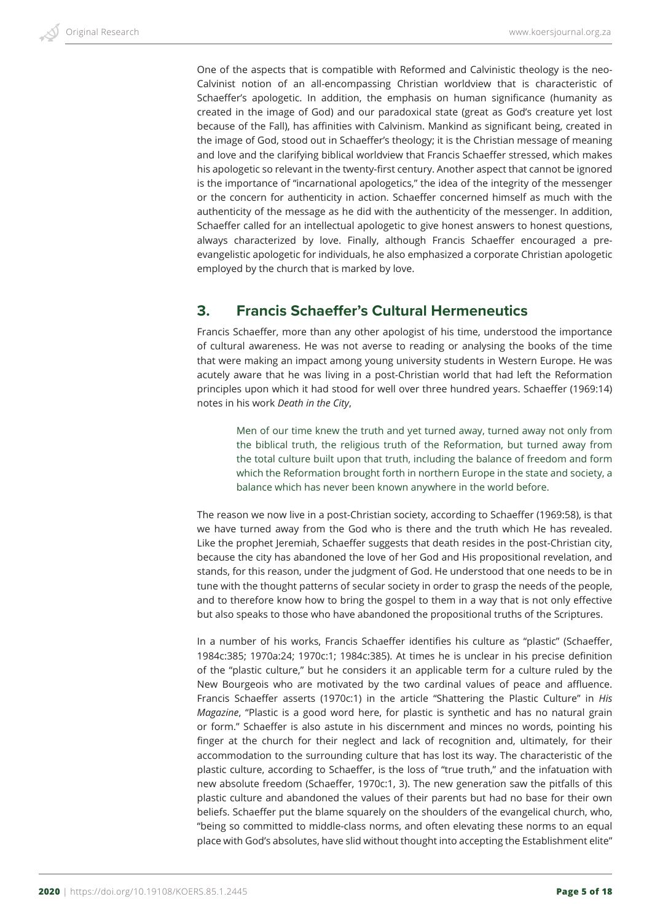One of the aspects that is compatible with Reformed and Calvinistic theology is the neo-Calvinist notion of an all-encompassing Christian worldview that is characteristic of Schaeffer's apologetic. In addition, the emphasis on human significance (humanity as created in the image of God) and our paradoxical state (great as God's creature yet lost because of the Fall), has affinities with Calvinism. Mankind as significant being, created in the image of God, stood out in Schaeffer's theology; it is the Christian message of meaning and love and the clarifying biblical worldview that Francis Schaeffer stressed, which makes his apologetic so relevant in the twenty-first century. Another aspect that cannot be ignored is the importance of "incarnational apologetics," the idea of the integrity of the messenger or the concern for authenticity in action. Schaeffer concerned himself as much with the authenticity of the message as he did with the authenticity of the messenger. In addition, Schaeffer called for an intellectual apologetic to give honest answers to honest questions, always characterized by love. Finally, although Francis Schaeffer encouraged a preevangelistic apologetic for individuals, he also emphasized a corporate Christian apologetic employed by the church that is marked by love.

# **3. Francis Schaeffer's Cultural Hermeneutics**

Francis Schaeffer, more than any other apologist of his time, understood the importance of cultural awareness. He was not averse to reading or analysing the books of the time that were making an impact among young university students in Western Europe. He was acutely aware that he was living in a post-Christian world that had left the Reformation principles upon which it had stood for well over three hundred years. Schaeffer (1969:14) notes in his work *Death in the City*,

Men of our time knew the truth and yet turned away, turned away not only from the biblical truth, the religious truth of the Reformation, but turned away from the total culture built upon that truth, including the balance of freedom and form which the Reformation brought forth in northern Europe in the state and society, a balance which has never been known anywhere in the world before.

The reason we now live in a post-Christian society, according to Schaeffer (1969:58), is that we have turned away from the God who is there and the truth which He has revealed. Like the prophet Jeremiah, Schaeffer suggests that death resides in the post-Christian city, because the city has abandoned the love of her God and His propositional revelation, and stands, for this reason, under the judgment of God. He understood that one needs to be in tune with the thought patterns of secular society in order to grasp the needs of the people, and to therefore know how to bring the gospel to them in a way that is not only effective but also speaks to those who have abandoned the propositional truths of the Scriptures.

In a number of his works, Francis Schaeffer identifies his culture as "plastic" (Schaeffer, 1984c:385; 1970a:24; 1970c:1; 1984c:385). At times he is unclear in his precise definition of the "plastic culture," but he considers it an applicable term for a culture ruled by the New Bourgeois who are motivated by the two cardinal values of peace and affluence. Francis Schaeffer asserts (1970c:1) in the article "Shattering the Plastic Culture" in *His Magazine*, "Plastic is a good word here, for plastic is synthetic and has no natural grain or form." Schaeffer is also astute in his discernment and minces no words, pointing his finger at the church for their neglect and lack of recognition and, ultimately, for their accommodation to the surrounding culture that has lost its way. The characteristic of the plastic culture, according to Schaeffer, is the loss of "true truth," and the infatuation with new absolute freedom (Schaeffer, 1970c:1, 3). The new generation saw the pitfalls of this plastic culture and abandoned the values of their parents but had no base for their own beliefs. Schaeffer put the blame squarely on the shoulders of the evangelical church, who, "being so committed to middle-class norms, and often elevating these norms to an equal place with God's absolutes, have slid without thought into accepting the Establishment elite"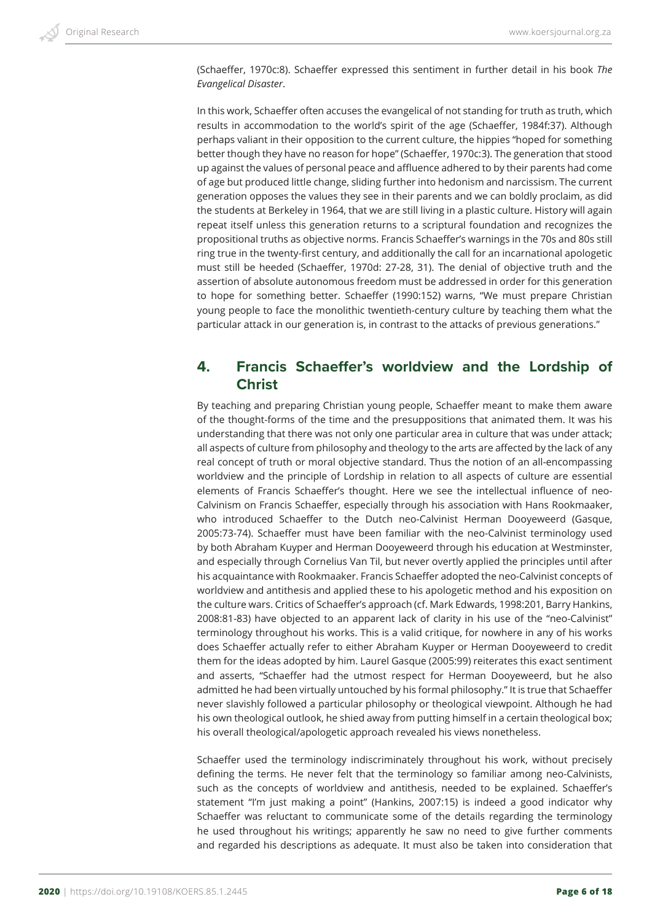(Schaeffer, 1970c:8). Schaeffer expressed this sentiment in further detail in his book *The Evangelical Disaster*.

In this work, Schaeffer often accuses the evangelical of not standing for truth as truth, which results in accommodation to the world's spirit of the age (Schaeffer, 1984f:37). Although perhaps valiant in their opposition to the current culture, the hippies "hoped for something better though they have no reason for hope" (Schaeffer, 1970c:3). The generation that stood up against the values of personal peace and affluence adhered to by their parents had come of age but produced little change, sliding further into hedonism and narcissism. The current generation opposes the values they see in their parents and we can boldly proclaim, as did the students at Berkeley in 1964, that we are still living in a plastic culture. History will again repeat itself unless this generation returns to a scriptural foundation and recognizes the propositional truths as objective norms. Francis Schaeffer's warnings in the 70s and 80s still ring true in the twenty-first century, and additionally the call for an incarnational apologetic must still be heeded (Schaeffer, 1970d: 27-28, 31). The denial of objective truth and the assertion of absolute autonomous freedom must be addressed in order for this generation to hope for something better. Schaeffer (1990:152) warns, "We must prepare Christian young people to face the monolithic twentieth-century culture by teaching them what the particular attack in our generation is, in contrast to the attacks of previous generations."

#### **4. Francis Schaeffer's worldview and the Lordship of Christ**

By teaching and preparing Christian young people, Schaeffer meant to make them aware of the thought-forms of the time and the presuppositions that animated them. It was his understanding that there was not only one particular area in culture that was under attack; all aspects of culture from philosophy and theology to the arts are affected by the lack of any real concept of truth or moral objective standard. Thus the notion of an all-encompassing worldview and the principle of Lordship in relation to all aspects of culture are essential elements of Francis Schaeffer's thought. Here we see the intellectual influence of neo-Calvinism on Francis Schaeffer, especially through his association with Hans Rookmaaker, who introduced Schaeffer to the Dutch neo-Calvinist Herman Dooyeweerd (Gasque, 2005:73-74). Schaeffer must have been familiar with the neo-Calvinist terminology used by both Abraham Kuyper and Herman Dooyeweerd through his education at Westminster, and especially through Cornelius Van Til, but never overtly applied the principles until after his acquaintance with Rookmaaker. Francis Schaeffer adopted the neo-Calvinist concepts of worldview and antithesis and applied these to his apologetic method and his exposition on the culture wars. Critics of Schaeffer's approach (cf. Mark Edwards, 1998:201, Barry Hankins, 2008:81-83) have objected to an apparent lack of clarity in his use of the "neo-Calvinist" terminology throughout his works. This is a valid critique, for nowhere in any of his works does Schaeffer actually refer to either Abraham Kuyper or Herman Dooyeweerd to credit them for the ideas adopted by him. Laurel Gasque (2005:99) reiterates this exact sentiment and asserts, "Schaeffer had the utmost respect for Herman Dooyeweerd, but he also admitted he had been virtually untouched by his formal philosophy." It is true that Schaeffer never slavishly followed a particular philosophy or theological viewpoint. Although he had his own theological outlook, he shied away from putting himself in a certain theological box; his overall theological/apologetic approach revealed his views nonetheless.

Schaeffer used the terminology indiscriminately throughout his work, without precisely defining the terms. He never felt that the terminology so familiar among neo-Calvinists, such as the concepts of worldview and antithesis, needed to be explained. Schaeffer's statement "I'm just making a point" (Hankins, 2007:15) is indeed a good indicator why Schaeffer was reluctant to communicate some of the details regarding the terminology he used throughout his writings; apparently he saw no need to give further comments and regarded his descriptions as adequate. It must also be taken into consideration that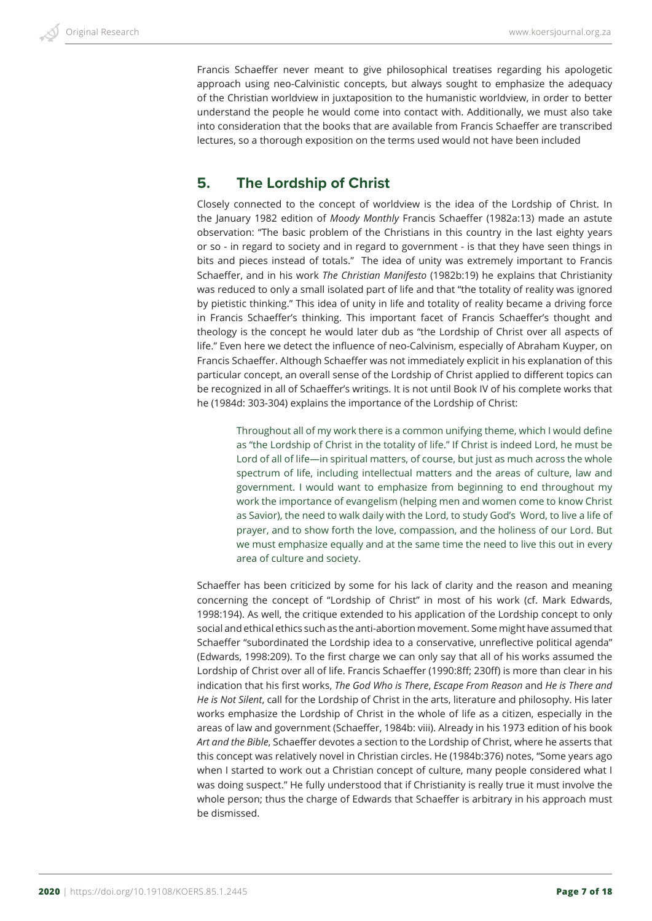Francis Schaeffer never meant to give philosophical treatises regarding his apologetic approach using neo-Calvinistic concepts, but always sought to emphasize the adequacy of the Christian worldview in juxtaposition to the humanistic worldview, in order to better understand the people he would come into contact with. Additionally, we must also take into consideration that the books that are available from Francis Schaeffer are transcribed lectures, so a thorough exposition on the terms used would not have been included

#### **5. The Lordship of Christ**

Closely connected to the concept of worldview is the idea of the Lordship of Christ. In the January 1982 edition of *Moody Monthly* Francis Schaeffer (1982a:13) made an astute observation: "The basic problem of the Christians in this country in the last eighty years or so - in regard to society and in regard to government - is that they have seen things in bits and pieces instead of totals." The idea of unity was extremely important to Francis Schaeffer, and in his work *The Christian Manifesto* (1982b:19) he explains that Christianity was reduced to only a small isolated part of life and that "the totality of reality was ignored by pietistic thinking." This idea of unity in life and totality of reality became a driving force in Francis Schaeffer's thinking. This important facet of Francis Schaeffer's thought and theology is the concept he would later dub as "the Lordship of Christ over all aspects of life." Even here we detect the influence of neo-Calvinism, especially of Abraham Kuyper, on Francis Schaeffer. Although Schaeffer was not immediately explicit in his explanation of this particular concept, an overall sense of the Lordship of Christ applied to different topics can be recognized in all of Schaeffer's writings. It is not until Book IV of his complete works that he (1984d: 303-304) explains the importance of the Lordship of Christ:

Throughout all of my work there is a common unifying theme, which I would define as "the Lordship of Christ in the totality of life." If Christ is indeed Lord, he must be Lord of all of life—in spiritual matters, of course, but just as much across the whole spectrum of life, including intellectual matters and the areas of culture, law and government. I would want to emphasize from beginning to end throughout my work the importance of evangelism (helping men and women come to know Christ as Savior), the need to walk daily with the Lord, to study God's Word, to live a life of prayer, and to show forth the love, compassion, and the holiness of our Lord. But we must emphasize equally and at the same time the need to live this out in every area of culture and society.

Schaeffer has been criticized by some for his lack of clarity and the reason and meaning concerning the concept of "Lordship of Christ" in most of his work (cf. Mark Edwards, 1998:194). As well, the critique extended to his application of the Lordship concept to only social and ethical ethics such as the anti-abortion movement. Some might have assumed that Schaeffer "subordinated the Lordship idea to a conservative, unreflective political agenda" (Edwards, 1998:209). To the first charge we can only say that all of his works assumed the Lordship of Christ over all of life. Francis Schaeffer (1990:8ff; 230ff) is more than clear in his indication that his first works, *The God Who is There*, *Escape From Reason* and *He is There and He is Not Silent*, call for the Lordship of Christ in the arts, literature and philosophy. His later works emphasize the Lordship of Christ in the whole of life as a citizen, especially in the areas of law and government (Schaeffer, 1984b: viii). Already in his 1973 edition of his book *Art and the Bible*, Schaeffer devotes a section to the Lordship of Christ, where he asserts that this concept was relatively novel in Christian circles. He (1984b:376) notes, "Some years ago when I started to work out a Christian concept of culture, many people considered what I was doing suspect." He fully understood that if Christianity is really true it must involve the whole person; thus the charge of Edwards that Schaeffer is arbitrary in his approach must be dismissed.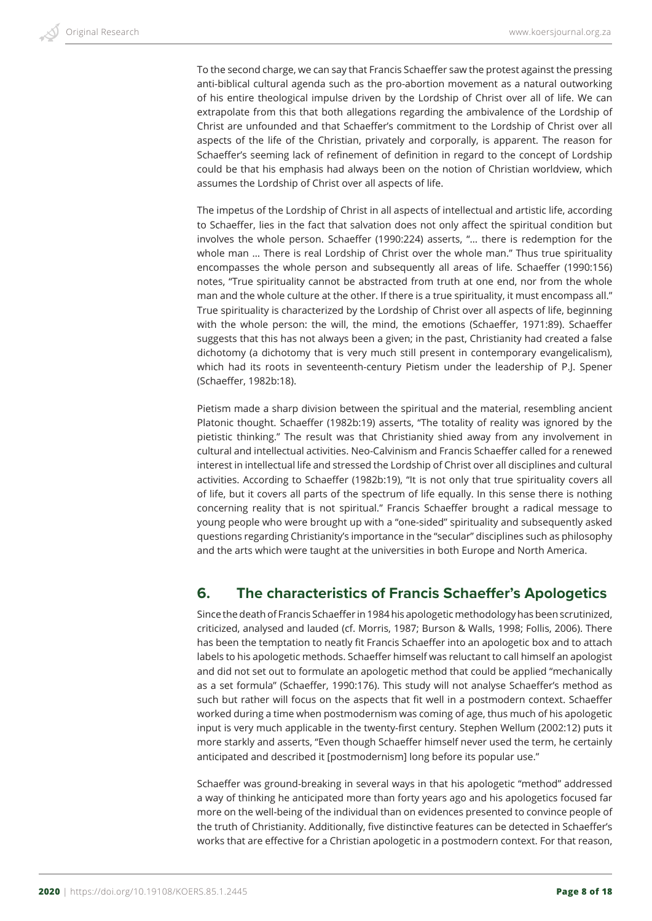To the second charge, we can say that Francis Schaeffer saw the protest against the pressing anti-biblical cultural agenda such as the pro-abortion movement as a natural outworking of his entire theological impulse driven by the Lordship of Christ over all of life. We can extrapolate from this that both allegations regarding the ambivalence of the Lordship of Christ are unfounded and that Schaeffer's commitment to the Lordship of Christ over all aspects of the life of the Christian, privately and corporally, is apparent. The reason for Schaeffer's seeming lack of refinement of definition in regard to the concept of Lordship could be that his emphasis had always been on the notion of Christian worldview, which assumes the Lordship of Christ over all aspects of life.

The impetus of the Lordship of Christ in all aspects of intellectual and artistic life, according to Schaeffer, lies in the fact that salvation does not only affect the spiritual condition but involves the whole person. Schaeffer (1990:224) asserts, "… there is redemption for the whole man … There is real Lordship of Christ over the whole man." Thus true spirituality encompasses the whole person and subsequently all areas of life. Schaeffer (1990:156) notes, "True spirituality cannot be abstracted from truth at one end, nor from the whole man and the whole culture at the other. If there is a true spirituality, it must encompass all." True spirituality is characterized by the Lordship of Christ over all aspects of life, beginning with the whole person: the will, the mind, the emotions (Schaeffer, 1971:89). Schaeffer suggests that this has not always been a given; in the past, Christianity had created a false dichotomy (a dichotomy that is very much still present in contemporary evangelicalism), which had its roots in seventeenth-century Pietism under the leadership of P.J. Spener (Schaeffer, 1982b:18).

Pietism made a sharp division between the spiritual and the material, resembling ancient Platonic thought. Schaeffer (1982b:19) asserts, "The totality of reality was ignored by the pietistic thinking." The result was that Christianity shied away from any involvement in cultural and intellectual activities. Neo-Calvinism and Francis Schaeffer called for a renewed interest in intellectual life and stressed the Lordship of Christ over all disciplines and cultural activities. According to Schaeffer (1982b:19), "It is not only that true spirituality covers all of life, but it covers all parts of the spectrum of life equally. In this sense there is nothing concerning reality that is not spiritual." Francis Schaeffer brought a radical message to young people who were brought up with a "one-sided" spirituality and subsequently asked questions regarding Christianity's importance in the "secular" disciplines such as philosophy and the arts which were taught at the universities in both Europe and North America.

#### **6. The characteristics of Francis Schaeffer's Apologetics**

Since the death of Francis Schaeffer in 1984 his apologetic methodology has been scrutinized, criticized, analysed and lauded (cf. Morris, 1987; Burson & Walls, 1998; Follis, 2006). There has been the temptation to neatly fit Francis Schaeffer into an apologetic box and to attach labels to his apologetic methods. Schaeffer himself was reluctant to call himself an apologist and did not set out to formulate an apologetic method that could be applied "mechanically as a set formula" (Schaeffer, 1990:176). This study will not analyse Schaeffer's method as such but rather will focus on the aspects that fit well in a postmodern context. Schaeffer worked during a time when postmodernism was coming of age, thus much of his apologetic input is very much applicable in the twenty-first century. Stephen Wellum (2002:12) puts it more starkly and asserts, "Even though Schaeffer himself never used the term, he certainly anticipated and described it [postmodernism] long before its popular use."

Schaeffer was ground-breaking in several ways in that his apologetic "method" addressed a way of thinking he anticipated more than forty years ago and his apologetics focused far more on the well-being of the individual than on evidences presented to convince people of the truth of Christianity. Additionally, five distinctive features can be detected in Schaeffer's works that are effective for a Christian apologetic in a postmodern context. For that reason,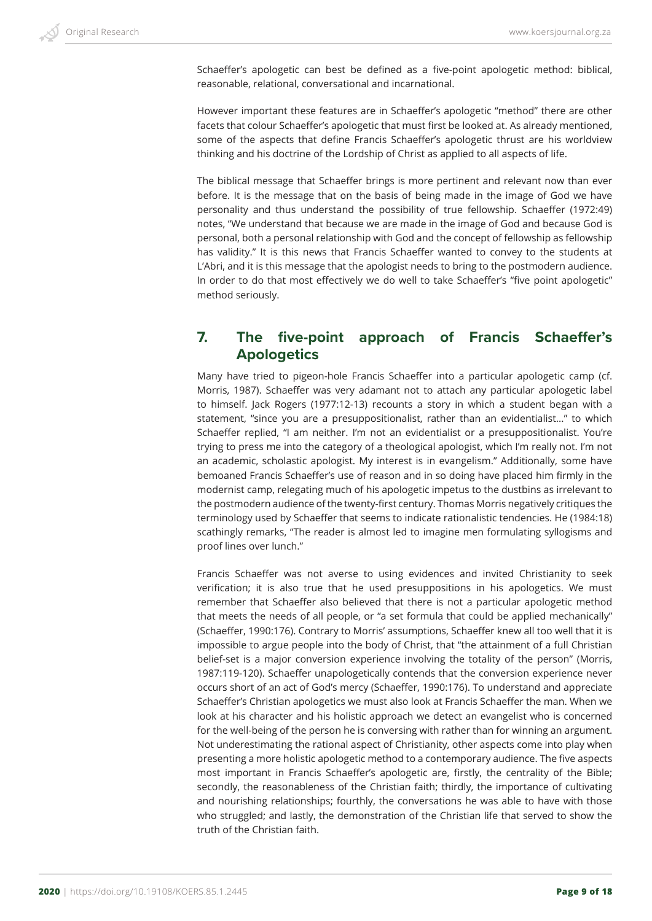Schaeffer's apologetic can best be defined as a five-point apologetic method: biblical, reasonable, relational, conversational and incarnational.

However important these features are in Schaeffer's apologetic "method" there are other facets that colour Schaeffer's apologetic that must first be looked at. As already mentioned, some of the aspects that define Francis Schaeffer's apologetic thrust are his worldview thinking and his doctrine of the Lordship of Christ as applied to all aspects of life.

The biblical message that Schaeffer brings is more pertinent and relevant now than ever before. It is the message that on the basis of being made in the image of God we have personality and thus understand the possibility of true fellowship. Schaeffer (1972:49) notes, "We understand that because we are made in the image of God and because God is personal, both a personal relationship with God and the concept of fellowship as fellowship has validity." It is this news that Francis Schaeffer wanted to convey to the students at L'Abri, and it is this message that the apologist needs to bring to the postmodern audience. In order to do that most effectively we do well to take Schaeffer's "five point apologetic" method seriously.

#### **7. The five-point approach of Francis Schaeffer's Apologetics**

Many have tried to pigeon-hole Francis Schaeffer into a particular apologetic camp (cf. Morris, 1987). Schaeffer was very adamant not to attach any particular apologetic label to himself. Jack Rogers (1977:12-13) recounts a story in which a student began with a statement, "since you are a presuppositionalist, rather than an evidentialist..." to which Schaeffer replied, "I am neither. I'm not an evidentialist or a presuppositionalist. You're trying to press me into the category of a theological apologist, which I'm really not. I'm not an academic, scholastic apologist. My interest is in evangelism." Additionally, some have bemoaned Francis Schaeffer's use of reason and in so doing have placed him firmly in the modernist camp, relegating much of his apologetic impetus to the dustbins as irrelevant to the postmodern audience of the twenty-first century. Thomas Morris negatively critiques the terminology used by Schaeffer that seems to indicate rationalistic tendencies. He (1984:18) scathingly remarks, "The reader is almost led to imagine men formulating syllogisms and proof lines over lunch."

Francis Schaeffer was not averse to using evidences and invited Christianity to seek verification; it is also true that he used presuppositions in his apologetics. We must remember that Schaeffer also believed that there is not a particular apologetic method that meets the needs of all people, or "a set formula that could be applied mechanically" (Schaeffer, 1990:176). Contrary to Morris' assumptions, Schaeffer knew all too well that it is impossible to argue people into the body of Christ, that "the attainment of a full Christian belief-set is a major conversion experience involving the totality of the person" (Morris, 1987:119-120). Schaeffer unapologetically contends that the conversion experience never occurs short of an act of God's mercy (Schaeffer, 1990:176). To understand and appreciate Schaeffer's Christian apologetics we must also look at Francis Schaeffer the man. When we look at his character and his holistic approach we detect an evangelist who is concerned for the well-being of the person he is conversing with rather than for winning an argument. Not underestimating the rational aspect of Christianity, other aspects come into play when presenting a more holistic apologetic method to a contemporary audience. The five aspects most important in Francis Schaeffer's apologetic are, firstly, the centrality of the Bible; secondly, the reasonableness of the Christian faith; thirdly, the importance of cultivating and nourishing relationships; fourthly, the conversations he was able to have with those who struggled; and lastly, the demonstration of the Christian life that served to show the truth of the Christian faith.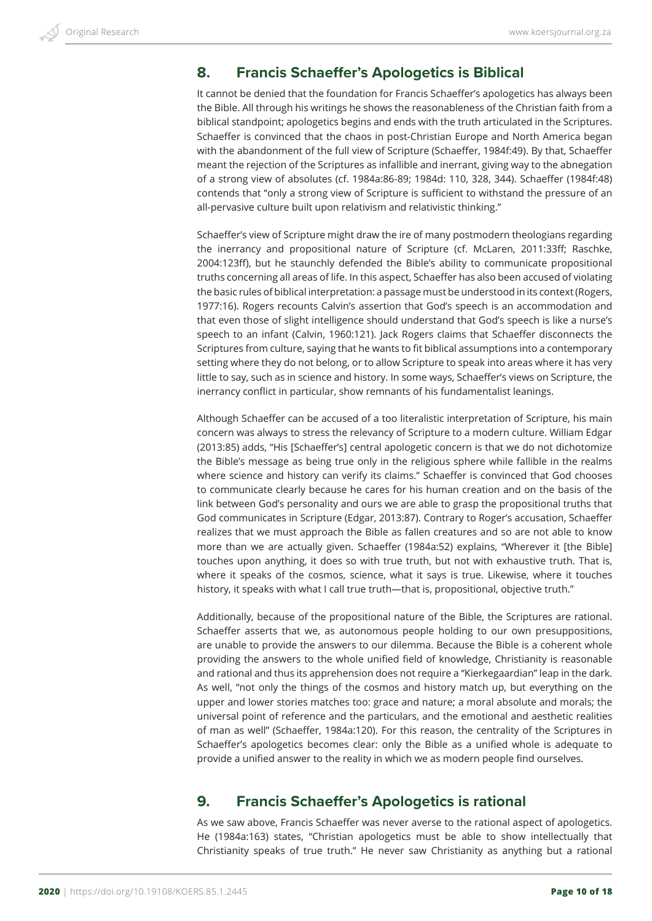#### **8. Francis Schaeffer's Apologetics is Biblical**

It cannot be denied that the foundation for Francis Schaeffer's apologetics has always been the Bible. All through his writings he shows the reasonableness of the Christian faith from a biblical standpoint; apologetics begins and ends with the truth articulated in the Scriptures. Schaeffer is convinced that the chaos in post-Christian Europe and North America began with the abandonment of the full view of Scripture (Schaeffer, 1984f:49). By that, Schaeffer meant the rejection of the Scriptures as infallible and inerrant, giving way to the abnegation of a strong view of absolutes (cf. 1984a:86-89; 1984d: 110, 328, 344). Schaeffer (1984f:48) contends that "only a strong view of Scripture is sufficient to withstand the pressure of an all-pervasive culture built upon relativism and relativistic thinking."

Schaeffer's view of Scripture might draw the ire of many postmodern theologians regarding the inerrancy and propositional nature of Scripture (cf. McLaren, 2011:33ff; Raschke, 2004:123ff), but he staunchly defended the Bible's ability to communicate propositional truths concerning all areas of life. In this aspect, Schaeffer has also been accused of violating the basic rules of biblical interpretation: a passage must be understood in its context (Rogers, 1977:16). Rogers recounts Calvin's assertion that God's speech is an accommodation and that even those of slight intelligence should understand that God's speech is like a nurse's speech to an infant (Calvin, 1960:121). Jack Rogers claims that Schaeffer disconnects the Scriptures from culture, saying that he wants to fit biblical assumptions into a contemporary setting where they do not belong, or to allow Scripture to speak into areas where it has very little to say, such as in science and history. In some ways, Schaeffer's views on Scripture, the inerrancy conflict in particular, show remnants of his fundamentalist leanings.

Although Schaeffer can be accused of a too literalistic interpretation of Scripture, his main concern was always to stress the relevancy of Scripture to a modern culture. William Edgar (2013:85) adds, "His [Schaeffer's] central apologetic concern is that we do not dichotomize the Bible's message as being true only in the religious sphere while fallible in the realms where science and history can verify its claims." Schaeffer is convinced that God chooses to communicate clearly because he cares for his human creation and on the basis of the link between God's personality and ours we are able to grasp the propositional truths that God communicates in Scripture (Edgar, 2013:87). Contrary to Roger's accusation, Schaeffer realizes that we must approach the Bible as fallen creatures and so are not able to know more than we are actually given. Schaeffer (1984a:52) explains, "Wherever it [the Bible] touches upon anything, it does so with true truth, but not with exhaustive truth. That is, where it speaks of the cosmos, science, what it says is true. Likewise, where it touches history, it speaks with what I call true truth—that is, propositional, objective truth."

Additionally, because of the propositional nature of the Bible, the Scriptures are rational. Schaeffer asserts that we, as autonomous people holding to our own presuppositions, are unable to provide the answers to our dilemma. Because the Bible is a coherent whole providing the answers to the whole unified field of knowledge, Christianity is reasonable and rational and thus its apprehension does not require a "Kierkegaardian" leap in the dark. As well, "not only the things of the cosmos and history match up, but everything on the upper and lower stories matches too: grace and nature; a moral absolute and morals; the universal point of reference and the particulars, and the emotional and aesthetic realities of man as well" (Schaeffer, 1984a:120). For this reason, the centrality of the Scriptures in Schaeffer's apologetics becomes clear: only the Bible as a unified whole is adequate to provide a unified answer to the reality in which we as modern people find ourselves.

## **9. Francis Schaeffer's Apologetics is rational**

As we saw above, Francis Schaeffer was never averse to the rational aspect of apologetics. He (1984a:163) states, "Christian apologetics must be able to show intellectually that Christianity speaks of true truth." He never saw Christianity as anything but a rational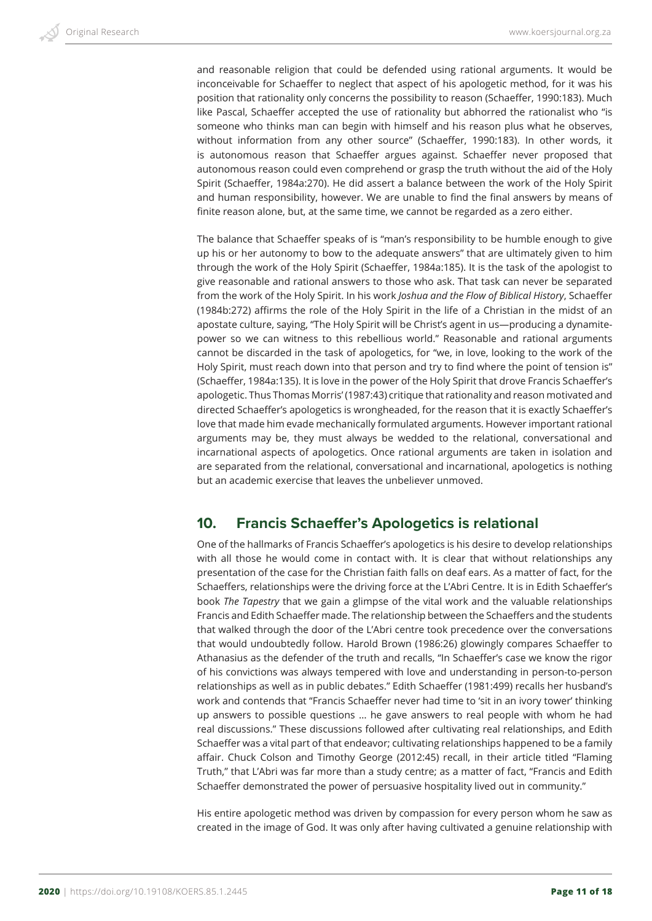and reasonable religion that could be defended using rational arguments. It would be inconceivable for Schaeffer to neglect that aspect of his apologetic method, for it was his position that rationality only concerns the possibility to reason (Schaeffer, 1990:183). Much like Pascal, Schaeffer accepted the use of rationality but abhorred the rationalist who "is someone who thinks man can begin with himself and his reason plus what he observes, without information from any other source" (Schaeffer, 1990:183). In other words, it is autonomous reason that Schaeffer argues against. Schaeffer never proposed that autonomous reason could even comprehend or grasp the truth without the aid of the Holy Spirit (Schaeffer, 1984a:270). He did assert a balance between the work of the Holy Spirit and human responsibility, however. We are unable to find the final answers by means of finite reason alone, but, at the same time, we cannot be regarded as a zero either.

The balance that Schaeffer speaks of is "man's responsibility to be humble enough to give up his or her autonomy to bow to the adequate answers" that are ultimately given to him through the work of the Holy Spirit (Schaeffer, 1984a:185). It is the task of the apologist to give reasonable and rational answers to those who ask. That task can never be separated from the work of the Holy Spirit. In his work *Joshua and the Flow of Biblical History*, Schaeffer (1984b:272) affirms the role of the Holy Spirit in the life of a Christian in the midst of an apostate culture, saying, "The Holy Spirit will be Christ's agent in us—producing a dynamitepower so we can witness to this rebellious world." Reasonable and rational arguments cannot be discarded in the task of apologetics, for "we, in love, looking to the work of the Holy Spirit, must reach down into that person and try to find where the point of tension is" (Schaeffer, 1984a:135). It is love in the power of the Holy Spirit that drove Francis Schaeffer's apologetic. Thus Thomas Morris' (1987:43) critique that rationality and reason motivated and directed Schaeffer's apologetics is wrongheaded, for the reason that it is exactly Schaeffer's love that made him evade mechanically formulated arguments. However important rational arguments may be, they must always be wedded to the relational, conversational and incarnational aspects of apologetics. Once rational arguments are taken in isolation and are separated from the relational, conversational and incarnational, apologetics is nothing but an academic exercise that leaves the unbeliever unmoved.

#### **10. Francis Schaeffer's Apologetics is relational**

One of the hallmarks of Francis Schaeffer's apologetics is his desire to develop relationships with all those he would come in contact with. It is clear that without relationships any presentation of the case for the Christian faith falls on deaf ears. As a matter of fact, for the Schaeffers, relationships were the driving force at the L'Abri Centre. It is in Edith Schaeffer's book *The Tapestry* that we gain a glimpse of the vital work and the valuable relationships Francis and Edith Schaeffer made. The relationship between the Schaeffers and the students that walked through the door of the L'Abri centre took precedence over the conversations that would undoubtedly follow. Harold Brown (1986:26) glowingly compares Schaeffer to Athanasius as the defender of the truth and recalls, "In Schaeffer's case we know the rigor of his convictions was always tempered with love and understanding in person-to-person relationships as well as in public debates." Edith Schaeffer (1981:499) recalls her husband's work and contends that "Francis Schaeffer never had time to 'sit in an ivory tower' thinking up answers to possible questions … he gave answers to real people with whom he had real discussions." These discussions followed after cultivating real relationships, and Edith Schaeffer was a vital part of that endeavor; cultivating relationships happened to be a family affair. Chuck Colson and Timothy George (2012:45) recall, in their article titled "Flaming Truth," that L'Abri was far more than a study centre; as a matter of fact, "Francis and Edith Schaeffer demonstrated the power of persuasive hospitality lived out in community."

His entire apologetic method was driven by compassion for every person whom he saw as created in the image of God. It was only after having cultivated a genuine relationship with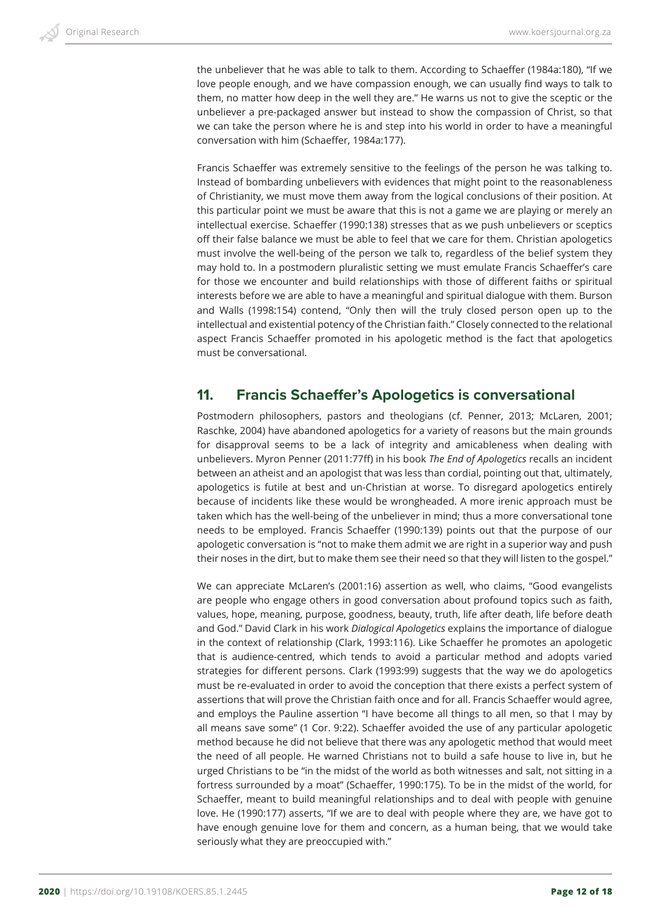the unbeliever that he was able to talk to them. According to Schaeffer (1984a:180), "If we love people enough, and we have compassion enough, we can usually find ways to talk to them, no matter how deep in the well they are." He warns us not to give the sceptic or the unbeliever a pre-packaged answer but instead to show the compassion of Christ, so that we can take the person where he is and step into his world in order to have a meaningful conversation with him (Schaeffer, 1984a:177).

Francis Schaeffer was extremely sensitive to the feelings of the person he was talking to. Instead of bombarding unbelievers with evidences that might point to the reasonableness of Christianity, we must move them away from the logical conclusions of their position. At this particular point we must be aware that this is not a game we are playing or merely an intellectual exercise. Schaeffer (1990:138) stresses that as we push unbelievers or sceptics off their false balance we must be able to feel that we care for them. Christian apologetics must involve the well-being of the person we talk to, regardless of the belief system they may hold to. In a postmodern pluralistic setting we must emulate Francis Schaeffer's care for those we encounter and build relationships with those of different faiths or spiritual interests before we are able to have a meaningful and spiritual dialogue with them. Burson and Walls (1998:154) contend, "Only then will the truly closed person open up to the intellectual and existential potency of the Christian faith." Closely connected to the relational aspect Francis Schaeffer promoted in his apologetic method is the fact that apologetics must be conversational.

#### **11. Francis Schaeffer's Apologetics is conversational**

Postmodern philosophers, pastors and theologians (cf. Penner, 2013; McLaren, 2001; Raschke, 2004) have abandoned apologetics for a variety of reasons but the main grounds for disapproval seems to be a lack of integrity and amicableness when dealing with unbelievers. Myron Penner (2011:77ff) in his book *The End of Apologetics* recalls an incident between an atheist and an apologist that was less than cordial, pointing out that, ultimately, apologetics is futile at best and un-Christian at worse. To disregard apologetics entirely because of incidents like these would be wrongheaded. A more irenic approach must be taken which has the well-being of the unbeliever in mind; thus a more conversational tone needs to be employed. Francis Schaeffer (1990:139) points out that the purpose of our apologetic conversation is "not to make them admit we are right in a superior way and push their noses in the dirt, but to make them see their need so that they will listen to the gospel."

We can appreciate McLaren's (2001:16) assertion as well, who claims, "Good evangelists are people who engage others in good conversation about profound topics such as faith, values, hope, meaning, purpose, goodness, beauty, truth, life after death, life before death and God." David Clark in his work *Dialogical Apologetics* explains the importance of dialogue in the context of relationship (Clark, 1993:116). Like Schaeffer he promotes an apologetic that is audience-centred, which tends to avoid a particular method and adopts varied strategies for different persons. Clark (1993:99) suggests that the way we do apologetics must be re-evaluated in order to avoid the conception that there exists a perfect system of assertions that will prove the Christian faith once and for all. Francis Schaeffer would agree, and employs the Pauline assertion "I have become all things to all men, so that I may by all means save some" (1 Cor. 9:22). Schaeffer avoided the use of any particular apologetic method because he did not believe that there was any apologetic method that would meet the need of all people. He warned Christians not to build a safe house to live in, but he urged Christians to be "in the midst of the world as both witnesses and salt, not sitting in a fortress surrounded by a moat" (Schaeffer, 1990:175). To be in the midst of the world, for Schaeffer, meant to build meaningful relationships and to deal with people with genuine love. He (1990:177) asserts, "If we are to deal with people where they are, we have got to have enough genuine love for them and concern, as a human being, that we would take seriously what they are preoccupied with."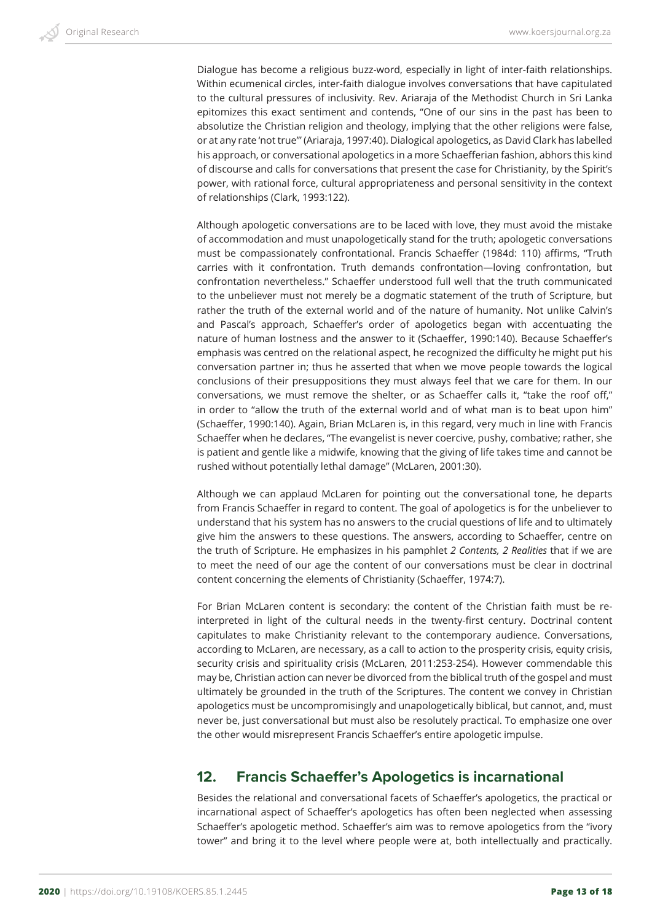Dialogue has become a religious buzz-word, especially in light of inter-faith relationships. Within ecumenical circles, inter-faith dialogue involves conversations that have capitulated to the cultural pressures of inclusivity. Rev. Ariaraja of the Methodist Church in Sri Lanka epitomizes this exact sentiment and contends, "One of our sins in the past has been to absolutize the Christian religion and theology, implying that the other religions were false, or at any rate 'not true'" (Ariaraja, 1997:40). Dialogical apologetics, as David Clark has labelled his approach, or conversational apologetics in a more Schaefferian fashion, abhors this kind of discourse and calls for conversations that present the case for Christianity, by the Spirit's power, with rational force, cultural appropriateness and personal sensitivity in the context of relationships (Clark, 1993:122).

Although apologetic conversations are to be laced with love, they must avoid the mistake of accommodation and must unapologetically stand for the truth; apologetic conversations must be compassionately confrontational. Francis Schaeffer (1984d: 110) affirms, "Truth carries with it confrontation. Truth demands confrontation—loving confrontation, but confrontation nevertheless." Schaeffer understood full well that the truth communicated to the unbeliever must not merely be a dogmatic statement of the truth of Scripture, but rather the truth of the external world and of the nature of humanity. Not unlike Calvin's and Pascal's approach, Schaeffer's order of apologetics began with accentuating the nature of human lostness and the answer to it (Schaeffer, 1990:140). Because Schaeffer's emphasis was centred on the relational aspect, he recognized the difficulty he might put his conversation partner in; thus he asserted that when we move people towards the logical conclusions of their presuppositions they must always feel that we care for them. In our conversations, we must remove the shelter, or as Schaeffer calls it, "take the roof off," in order to "allow the truth of the external world and of what man is to beat upon him" (Schaeffer, 1990:140). Again, Brian McLaren is, in this regard, very much in line with Francis Schaeffer when he declares, "The evangelist is never coercive, pushy, combative; rather, she is patient and gentle like a midwife, knowing that the giving of life takes time and cannot be rushed without potentially lethal damage" (McLaren, 2001:30).

Although we can applaud McLaren for pointing out the conversational tone, he departs from Francis Schaeffer in regard to content. The goal of apologetics is for the unbeliever to understand that his system has no answers to the crucial questions of life and to ultimately give him the answers to these questions. The answers, according to Schaeffer, centre on the truth of Scripture. He emphasizes in his pamphlet *2 Contents, 2 Realities* that if we are to meet the need of our age the content of our conversations must be clear in doctrinal content concerning the elements of Christianity (Schaeffer, 1974:7).

For Brian McLaren content is secondary: the content of the Christian faith must be reinterpreted in light of the cultural needs in the twenty-first century. Doctrinal content capitulates to make Christianity relevant to the contemporary audience. Conversations, according to McLaren, are necessary, as a call to action to the prosperity crisis, equity crisis, security crisis and spirituality crisis (McLaren, 2011:253-254). However commendable this may be, Christian action can never be divorced from the biblical truth of the gospel and must ultimately be grounded in the truth of the Scriptures. The content we convey in Christian apologetics must be uncompromisingly and unapologetically biblical, but cannot, and, must never be, just conversational but must also be resolutely practical. To emphasize one over the other would misrepresent Francis Schaeffer's entire apologetic impulse.

## **12. Francis Schaeffer's Apologetics is incarnational**

Besides the relational and conversational facets of Schaeffer's apologetics, the practical or incarnational aspect of Schaeffer's apologetics has often been neglected when assessing Schaeffer's apologetic method. Schaeffer's aim was to remove apologetics from the "ivory tower" and bring it to the level where people were at, both intellectually and practically.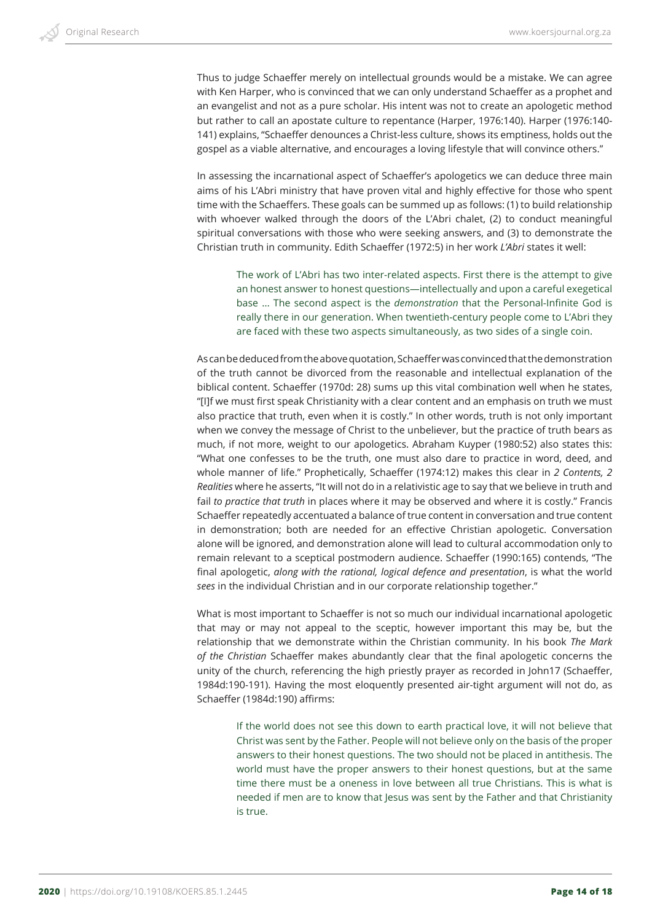Thus to judge Schaeffer merely on intellectual grounds would be a mistake. We can agree with Ken Harper, who is convinced that we can only understand Schaeffer as a prophet and an evangelist and not as a pure scholar. His intent was not to create an apologetic method but rather to call an apostate culture to repentance (Harper, 1976:140). Harper (1976:140- 141) explains, "Schaeffer denounces a Christ-less culture, shows its emptiness, holds out the gospel as a viable alternative, and encourages a loving lifestyle that will convince others."

In assessing the incarnational aspect of Schaeffer's apologetics we can deduce three main aims of his L'Abri ministry that have proven vital and highly effective for those who spent time with the Schaeffers. These goals can be summed up as follows: (1) to build relationship with whoever walked through the doors of the L'Abri chalet, (2) to conduct meaningful spiritual conversations with those who were seeking answers, and (3) to demonstrate the Christian truth in community. Edith Schaeffer (1972:5) in her work *L'Abri* states it well:

The work of L'Abri has two inter-related aspects. First there is the attempt to give an honest answer to honest questions—intellectually and upon a careful exegetical base … The second aspect is the *demonstration* that the Personal-Infinite God is really there in our generation. When twentieth-century people come to L'Abri they are faced with these two aspects simultaneously, as two sides of a single coin.

As can be deduced from the above quotation, Schaeffer was convinced that the demonstration of the truth cannot be divorced from the reasonable and intellectual explanation of the biblical content. Schaeffer (1970d: 28) sums up this vital combination well when he states, "[I]f we must first speak Christianity with a clear content and an emphasis on truth we must also practice that truth, even when it is costly." In other words, truth is not only important when we convey the message of Christ to the unbeliever, but the practice of truth bears as much, if not more, weight to our apologetics. Abraham Kuyper (1980:52) also states this: "What one confesses to be the truth, one must also dare to practice in word, deed, and whole manner of life." Prophetically, Schaeffer (1974:12) makes this clear in *2 Contents, 2 Realities* where he asserts, "It will not do in a relativistic age to say that we believe in truth and fail *to practice that truth* in places where it may be observed and where it is costly." Francis Schaeffer repeatedly accentuated a balance of true content in conversation and true content in demonstration; both are needed for an effective Christian apologetic. Conversation alone will be ignored, and demonstration alone will lead to cultural accommodation only to remain relevant to a sceptical postmodern audience. Schaeffer (1990:165) contends, "The final apologetic, *along with the rational, logical defence and presentation*, is what the world *sees* in the individual Christian and in our corporate relationship together."

What is most important to Schaeffer is not so much our individual incarnational apologetic that may or may not appeal to the sceptic, however important this may be, but the relationship that we demonstrate within the Christian community. In his book *The Mark of the Christian* Schaeffer makes abundantly clear that the final apologetic concerns the unity of the church, referencing the high priestly prayer as recorded in John17 (Schaeffer, 1984d:190-191). Having the most eloquently presented air-tight argument will not do, as Schaeffer (1984d:190) affirms:

If the world does not see this down to earth practical love, it will not believe that Christ was sent by the Father. People will not believe only on the basis of the proper answers to their honest questions. The two should not be placed in antithesis. The world must have the proper answers to their honest questions, but at the same time there must be a oneness in love between all true Christians. This is what is needed if men are to know that Jesus was sent by the Father and that Christianity is true.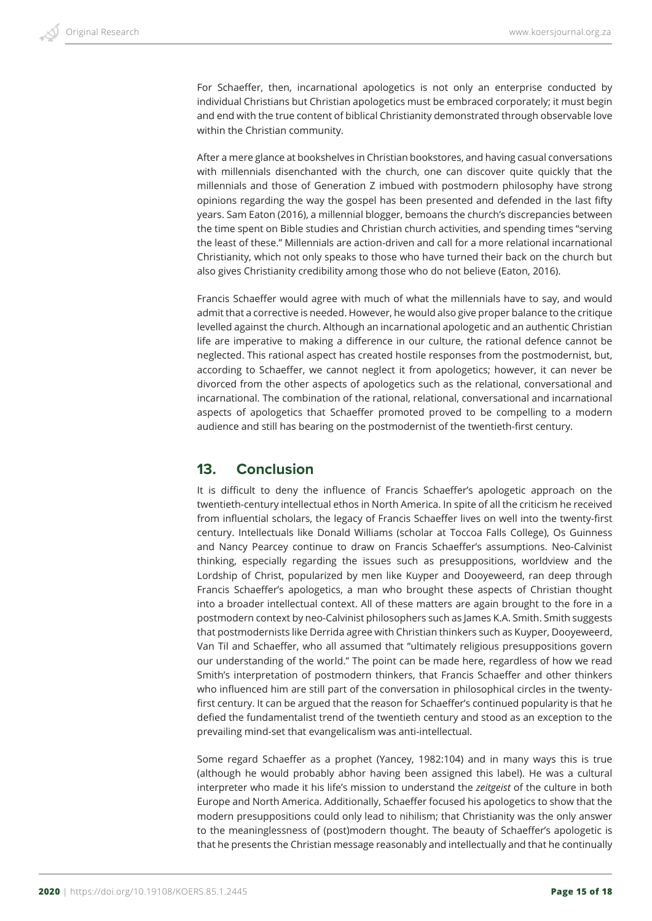For Schaeffer, then, incarnational apologetics is not only an enterprise conducted by individual Christians but Christian apologetics must be embraced corporately; it must begin and end with the true content of biblical Christianity demonstrated through observable love within the Christian community.

After a mere glance at bookshelves in Christian bookstores, and having casual conversations with millennials disenchanted with the church, one can discover quite quickly that the millennials and those of Generation Z imbued with postmodern philosophy have strong opinions regarding the way the gospel has been presented and defended in the last fifty years. Sam Eaton (2016), a millennial blogger, bemoans the church's discrepancies between the time spent on Bible studies and Christian church activities, and spending times "serving the least of these." Millennials are action-driven and call for a more relational incarnational Christianity, which not only speaks to those who have turned their back on the church but also gives Christianity credibility among those who do not believe (Eaton, 2016).

Francis Schaeffer would agree with much of what the millennials have to say, and would admit that a corrective is needed. However, he would also give proper balance to the critique levelled against the church. Although an incarnational apologetic and an authentic Christian life are imperative to making a difference in our culture, the rational defence cannot be neglected. This rational aspect has created hostile responses from the postmodernist, but, according to Schaeffer, we cannot neglect it from apologetics; however, it can never be divorced from the other aspects of apologetics such as the relational, conversational and incarnational. The combination of the rational, relational, conversational and incarnational aspects of apologetics that Schaeffer promoted proved to be compelling to a modern audience and still has bearing on the postmodernist of the twentieth-first century.

#### **13. Conclusion**

It is difficult to deny the influence of Francis Schaeffer's apologetic approach on the twentieth-century intellectual ethos in North America. In spite of all the criticism he received from influential scholars, the legacy of Francis Schaeffer lives on well into the twenty-first century. Intellectuals like Donald Williams (scholar at Toccoa Falls College), Os Guinness and Nancy Pearcey continue to draw on Francis Schaeffer's assumptions. Neo-Calvinist thinking, especially regarding the issues such as presuppositions, worldview and the Lordship of Christ, popularized by men like Kuyper and Dooyeweerd, ran deep through Francis Schaeffer's apologetics, a man who brought these aspects of Christian thought into a broader intellectual context. All of these matters are again brought to the fore in a postmodern context by neo-Calvinist philosophers such as James K.A. Smith. Smith suggests that postmodernists like Derrida agree with Christian thinkers such as Kuyper, Dooyeweerd, Van Til and Schaeffer, who all assumed that "ultimately religious presuppositions govern our understanding of the world." The point can be made here, regardless of how we read Smith's interpretation of postmodern thinkers, that Francis Schaeffer and other thinkers who influenced him are still part of the conversation in philosophical circles in the twentyfirst century. It can be argued that the reason for Schaeffer's continued popularity is that he defied the fundamentalist trend of the twentieth century and stood as an exception to the prevailing mind-set that evangelicalism was anti-intellectual.

Some regard Schaeffer as a prophet (Yancey, 1982:104) and in many ways this is true (although he would probably abhor having been assigned this label). He was a cultural interpreter who made it his life's mission to understand the *zeitgeist* of the culture in both Europe and North America. Additionally, Schaeffer focused his apologetics to show that the modern presuppositions could only lead to nihilism; that Christianity was the only answer to the meaninglessness of (post)modern thought. The beauty of Schaeffer's apologetic is that he presents the Christian message reasonably and intellectually and that he continually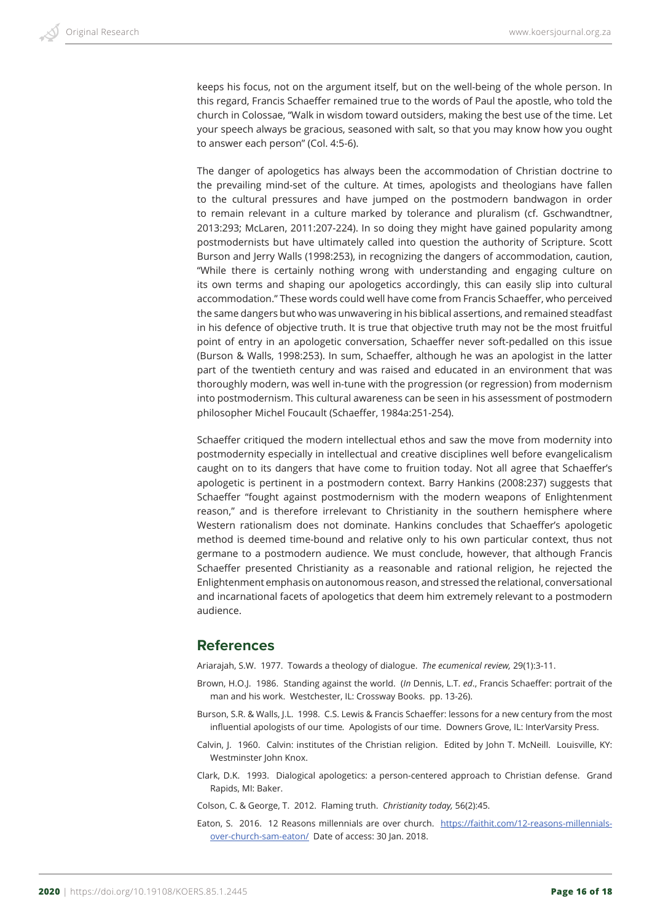keeps his focus, not on the argument itself, but on the well-being of the whole person. In this regard, Francis Schaeffer remained true to the words of Paul the apostle, who told the church in Colossae, "Walk in wisdom toward outsiders, making the best use of the time. Let your speech always be gracious, seasoned with salt, so that you may know how you ought to answer each person" (Col. 4:5-6).

The danger of apologetics has always been the accommodation of Christian doctrine to the prevailing mind-set of the culture. At times, apologists and theologians have fallen to the cultural pressures and have jumped on the postmodern bandwagon in order to remain relevant in a culture marked by tolerance and pluralism (cf. Gschwandtner, 2013:293; McLaren, 2011:207-224). In so doing they might have gained popularity among postmodernists but have ultimately called into question the authority of Scripture. Scott Burson and Jerry Walls (1998:253), in recognizing the dangers of accommodation, caution, "While there is certainly nothing wrong with understanding and engaging culture on its own terms and shaping our apologetics accordingly, this can easily slip into cultural accommodation." These words could well have come from Francis Schaeffer, who perceived the same dangers but who was unwavering in his biblical assertions, and remained steadfast in his defence of objective truth. It is true that objective truth may not be the most fruitful point of entry in an apologetic conversation, Schaeffer never soft-pedalled on this issue (Burson & Walls, 1998:253). In sum, Schaeffer, although he was an apologist in the latter part of the twentieth century and was raised and educated in an environment that was thoroughly modern, was well in-tune with the progression (or regression) from modernism into postmodernism. This cultural awareness can be seen in his assessment of postmodern philosopher Michel Foucault (Schaeffer, 1984a:251-254).

Schaeffer critiqued the modern intellectual ethos and saw the move from modernity into postmodernity especially in intellectual and creative disciplines well before evangelicalism caught on to its dangers that have come to fruition today. Not all agree that Schaeffer's apologetic is pertinent in a postmodern context. Barry Hankins (2008:237) suggests that Schaeffer "fought against postmodernism with the modern weapons of Enlightenment reason," and is therefore irrelevant to Christianity in the southern hemisphere where Western rationalism does not dominate. Hankins concludes that Schaeffer's apologetic method is deemed time-bound and relative only to his own particular context, thus not germane to a postmodern audience. We must conclude, however, that although Francis Schaeffer presented Christianity as a reasonable and rational religion, he rejected the Enlightenment emphasis on autonomous reason, and stressed the relational, conversational and incarnational facets of apologetics that deem him extremely relevant to a postmodern audience.

#### **References**

Ariarajah, S.W. 1977. Towards a theology of dialogue. *The ecumenical review,* 29(1):3-11.

- Brown, H.O.J. 1986. Standing against the world. (*In* Dennis, L.T. *ed*., Francis Schaeffer: portrait of the man and his work. Westchester, IL: Crossway Books. pp. 13-26).
- Burson, S.R. & Walls, J.L. 1998. C.S. Lewis & Francis Schaeffer: lessons for a new century from the most influential apologists of our time*.* Apologists of our time. Downers Grove, IL: InterVarsity Press.
- Calvin, J. 1960. Calvin: institutes of the Christian religion. Edited by John T. McNeill. Louisville, KY: Westminster John Knox.
- Clark, D.K. 1993. Dialogical apologetics: a person-centered approach to Christian defense. Grand Rapids, MI: Baker.

Colson, C. & George, T. 2012. Flaming truth. *Christianity today,* 56(2):45.

Eaton, S. 2016. 12 Reasons millennials are over church. https://faithit.com/12-reasons-millennialsover-church-sam-eaton/ Date of access: 30 Jan. 2018.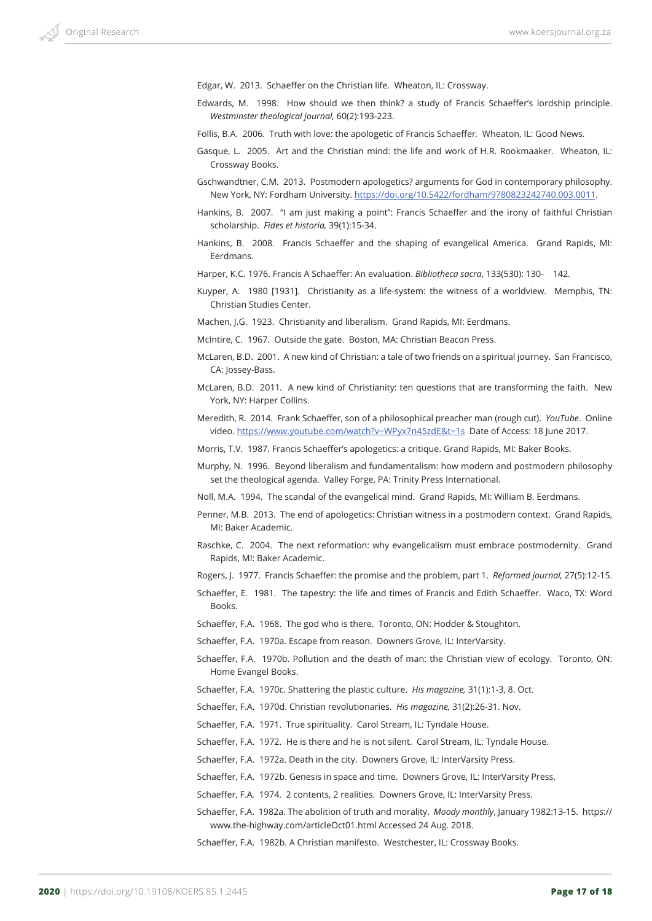Edgar, W. 2013. Schaeffer on the Christian life. Wheaton, IL: Crossway.

- Edwards, M. 1998. How should we then think? a study of Francis Schaeffer's lordship principle. *Westminster theological journal,* 60(2):193-223.
- Follis, B.A. 2006*.* Truth with love: the apologetic of Francis Schaeffer*.* Wheaton, IL: Good News.
- Gasque, L. 2005. Art and the Christian mind: the life and work of H.R. Rookmaaker*.* Wheaton, IL: Crossway Books.
- Gschwandtner, C.M. 2013. Postmodern apologetics? arguments for God in contemporary philosophy. New York, NY: Fordham University. https://doi.org/10.5422/fordham/9780823242740.003.0011.
- Hankins, B. 2007. "I am just making a point": Francis Schaeffer and the irony of faithful Christian scholarship. *Fides et historia,* 39(1):15-34.
- Hankins, B. 2008. Francis Schaeffer and the shaping of evangelical America. Grand Rapids, MI: Eerdmans.
- Harper, K.C. 1976. Francis A Schaeffer: An evaluation. *Bibliotheca sacra*, 133(530): 130- 142.
- Kuyper, A. 1980 [1931]. Christianity as a life-system: the witness of a worldview. Memphis, TN: Christian Studies Center.
- Machen, J.G. 1923. Christianity and liberalism. Grand Rapids, MI: Eerdmans.
- McIntire, C. 1967. Outside the gate. Boston, MA: Christian Beacon Press.
- McLaren, B.D. 2001. A new kind of Christian: a tale of two friends on a spiritual journey. San Francisco, CA: Jossey-Bass.
- McLaren, B.D. 2011*.* A new kind of Christianity: ten questions that are transforming the faith. New York, NY: Harper Collins.
- Meredith, R. 2014. Frank Schaeffer, son of a philosophical preacher man (rough cut). *YouTube*. Online video. https://www.youtube.com/watch?v=WPyx7n45zdE&t=1s Date of Access: 18 June 2017.
- Morris, T.V. 1987. Francis Schaeffer's apologetics: a critique. Grand Rapids, MI: Baker Books.
- Murphy, N. 1996. Beyond liberalism and fundamentalism: how modern and postmodern philosophy set the theological agenda. Valley Forge, PA: Trinity Press International.
- Noll, M.A. 1994. The scandal of the evangelical mind. Grand Rapids, MI: William B. Eerdmans.
- Penner, M.B. 2013. The end of apologetics: Christian witness in a postmodern context. Grand Rapids, MI: Baker Academic.
- Raschke, C. 2004. The next reformation: why evangelicalism must embrace postmodernity. Grand Rapids, MI: Baker Academic.
- Rogers, J. 1977. Francis Schaeffer: the promise and the problem, part 1. *Reformed journal,* 27(5):12-15.
- Schaeffer, E. 1981. The tapestry: the life and times of Francis and Edith Schaeffer. Waco, TX: Word Books.
- Schaeffer, F.A. 1968. The god who is there. Toronto, ON: Hodder & Stoughton.
- Schaeffer, F.A. 1970a. Escape from reason. Downers Grove, IL: InterVarsity.
- Schaeffer, F.A. 1970b. Pollution and the death of man: the Christian view of ecology. Toronto, ON: Home Evangel Books.
- Schaeffer, F.A. 1970c. Shattering the plastic culture. *His magazine,* 31(1):1-3, 8. Oct.
- Schaeffer, F.A. 1970d. Christian revolutionaries. *His magazine,* 31(2):26-31. Nov.
- Schaeffer, F.A. 1971. True spirituality. Carol Stream, IL: Tyndale House.
- Schaeffer, F.A. 1972. He is there and he is not silent. Carol Stream, IL: Tyndale House.
- Schaeffer, F.A. 1972a. Death in the city. Downers Grove, IL: InterVarsity Press.
- Schaeffer, F.A. 1972b. Genesis in space and time. Downers Grove, IL: InterVarsity Press.
- Schaeffer, F.A*.* 1974. 2 contents, 2 realities. Downers Grove, IL: InterVarsity Press.
- Schaeffer, F.A. 1982a. The abolition of truth and morality. *Moody monthly*, January 1982:13-15. https:// www.the-highway.com/articleOct01.html Accessed 24 Aug. 2018.
- Schaeffer, F.A. 1982b. A Christian manifesto. Westchester, IL: Crossway Books.